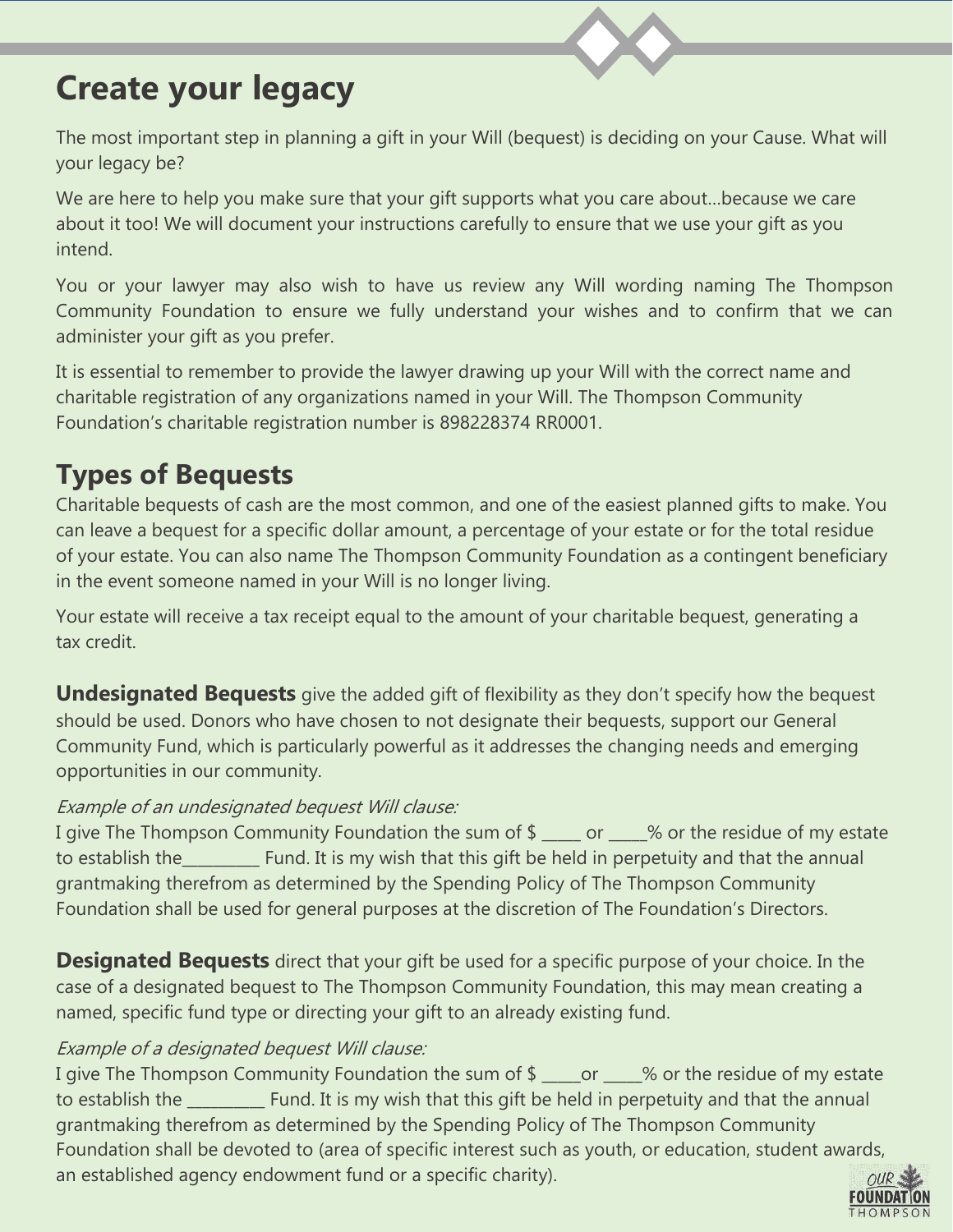# **Create your legacy**

The most important step in planning a gift in your Will (bequest) is deciding on your Cause. What will your legacy be?

We are here to help you make sure that your gift supports what you care about…because we care about it too! We will document your instructions carefully to ensure that we use your gift as you intend.

You or your lawyer may also wish to have us review any Will wording naming The Thompson Community Foundation to ensure we fully understand your wishes and to confirm that we can administer your gift as you prefer.

It is essential to remember to provide the lawyer drawing up your Will with the correct name and charitable registration of any organizations named in your Will. The Thompson Community Foundation's charitable registration number is 898228374 RR0001.

## **Types of Bequests**

Charitable bequests of cash are the most common, and one of the easiest planned gifts to make. You can leave a bequest for a specific dollar amount, a percentage of your estate or for the total residue of your estate. You can also name The Thompson Community Foundation as a contingent beneficiary in the event someone named in your Will is no longer living.

Your estate will receive a tax receipt equal to the amount of your charitable bequest, generating a tax credit.

**Undesignated Bequests** give the added gift of flexibility as they don't specify how the bequest should be used. Donors who have chosen to not designate their bequests, support our General Community Fund, which is particularly powerful as it addresses the changing needs and emerging opportunities in our community.

#### Example of an undesignated bequest Will clause:

I give The Thompson Community Foundation the sum of \$ \_\_\_\_ or  $\sim$  % or the residue of my estate to establish the\_\_\_\_\_\_\_\_\_\_ Fund. It is my wish that this gift be held in perpetuity and that the annual grantmaking therefrom as determined by the Spending Policy of The Thompson Community Foundation shall be used for general purposes at the discretion of The Foundation's Directors.

**Designated Bequests** direct that your gift be used for a specific purpose of your choice. In the case of a designated bequest to The Thompson Community Foundation, this may mean creating a named, specific fund type or directing your gift to an already existing fund.

#### Example of a designated bequest Will clause:

I give The Thompson Community Foundation the sum of \$ case or same of the residue of my estate to establish the \_\_\_\_\_\_\_\_\_\_ Fund. It is my wish that this gift be held in perpetuity and that the annual grantmaking therefrom as determined by the Spending Policy of The Thompson Community Foundation shall be devoted to (area of specific interest such as youth, or education, student awards, an established agency endowment fund or a specific charity).